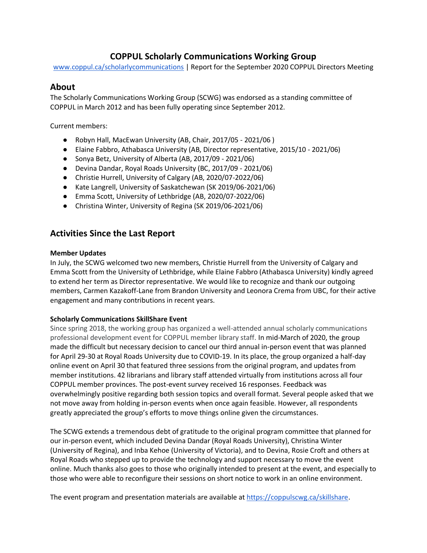# **COPPUL Scholarly Communications Working Group**

[www.coppul.ca/scholarlycommunications](http://www.coppul.ca/scholarlycommunications) | Report for the September 2020 COPPUL Directors Meeting

## **About**

The Scholarly Communications Working Group (SCWG) was endorsed as a standing committee of COPPUL in March 2012 and has been fully operating since September 2012.

Current members:

- Robyn Hall, MacEwan University (AB, Chair, 2017/05 2021/06 )
- Elaine Fabbro, Athabasca University (AB, Director representative, 2015/10 2021/06)
- Sonya Betz, University of Alberta (AB, 2017/09 2021/06)
- Devina Dandar, Royal Roads University (BC, 2017/09 2021/06)
- Christie Hurrell, University of Calgary (AB, 2020/07-2022/06)
- Kate Langrell, University of Saskatchewan (SK 2019/06-2021/06)
- Emma Scott, University of Lethbridge (AB, 2020/07-2022/06)
- Christina Winter, University of Regina (SK 2019/06-2021/06)

# **Activities Since the Last Report**

### **Member Updates**

In July, the SCWG welcomed two new members, Christie Hurrell from the University of Calgary and Emma Scott from the University of Lethbridge, while Elaine Fabbro (Athabasca University) kindly agreed to extend her term as Director representative. We would like to recognize and thank our outgoing members, Carmen Kazakoff-Lane from Brandon University and Leonora Crema from UBC, for their active engagement and many contributions in recent years.

## **Scholarly Communications SkillShare Event**

Since spring 2018, the working group has organized a well-attended annual scholarly communications professional development event for COPPUL member library staff. In mid-March of 2020, the group made the difficult but necessary decision to cancel our third annual in-person event that was planned for April 29-30 at Royal Roads University due to COVID-19. In its place, the group organized a half-day online event on April 30 that featured three sessions from the original program, and updates from member institutions. 42 librarians and library staff attended virtually from institutions across all four COPPUL member provinces. The post-event survey received 16 responses. Feedback was overwhelmingly positive regarding both session topics and overall format. Several people asked that we not move away from holding in-person events when once again feasible. However, all respondents greatly appreciated the group's efforts to move things online given the circumstances.

The SCWG extends a tremendous debt of gratitude to the original program committee that planned for our in-person event, which included Devina Dandar (Royal Roads University), Christina Winter (University of Regina), and Inba Kehoe (University of Victoria), and to Devina, Rosie Croft and others at Royal Roads who stepped up to provide the technology and support necessary to move the event online. Much thanks also goes to those who originally intended to present at the event, and especially to those who were able to reconfigure their sessions on short notice to work in an online environment.

The event program and presentation materials are available at [https://coppulscwg.ca/skillshare.](https://coppulscwg.ca/skillshare/)